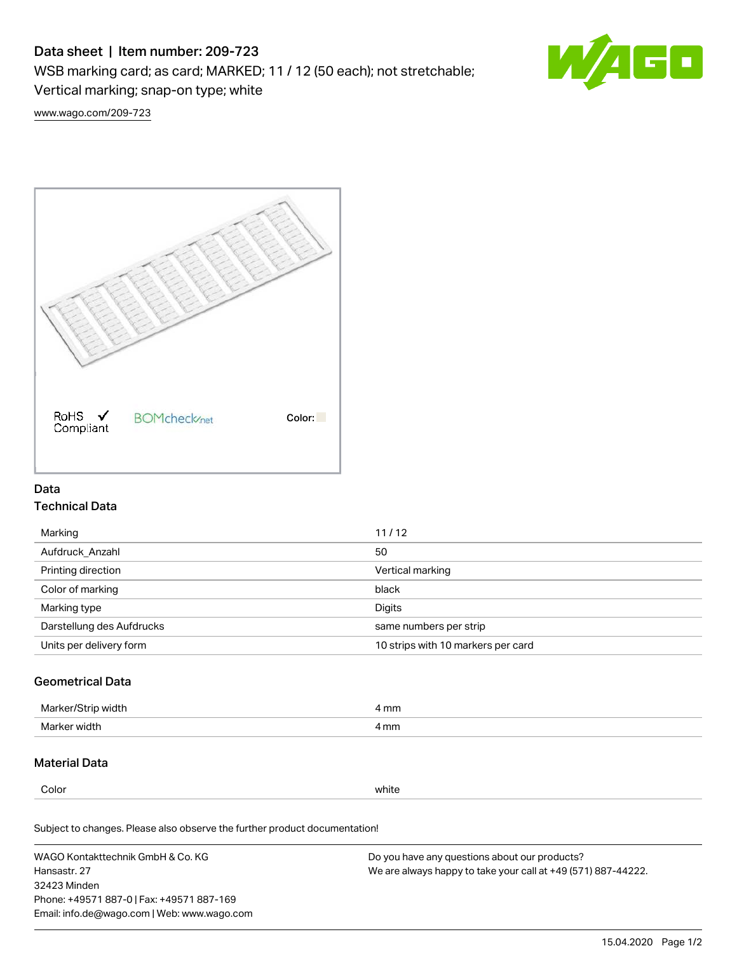# Data sheet | Item number: 209-723

WSB marking card; as card; MARKED; 11 / 12 (50 each); not stretchable;

Vertical marking; snap-on type; white



[www.wago.com/209-723](http://www.wago.com/209-723)



## Data Technical Data

| Marking                   | 11/12                              |
|---------------------------|------------------------------------|
| Aufdruck Anzahl           | 50                                 |
| Printing direction        | Vertical marking                   |
| Color of marking          | black                              |
| Marking type              | Digits                             |
| Darstellung des Aufdrucks | same numbers per strip             |
| Units per delivery form   | 10 strips with 10 markers per card |

## Geometrical Data

| Ma<br>width                            | mm<br>. |
|----------------------------------------|---------|
| Marke<br>widtl<br>$\sim$ $\sim$ $\sim$ | 4 mm    |

### Material Data

Color white

Subject to changes. Please also observe the further product documentation!

WAGO Kontakttechnik GmbH & Co. KG Hansastr. 27 32423 Minden Phone: +49571 887-0 | Fax: +49571 887-169 Email: info.de@wago.com | Web: www.wago.com Do you have any questions about our products? We are always happy to take your call at +49 (571) 887-44222.